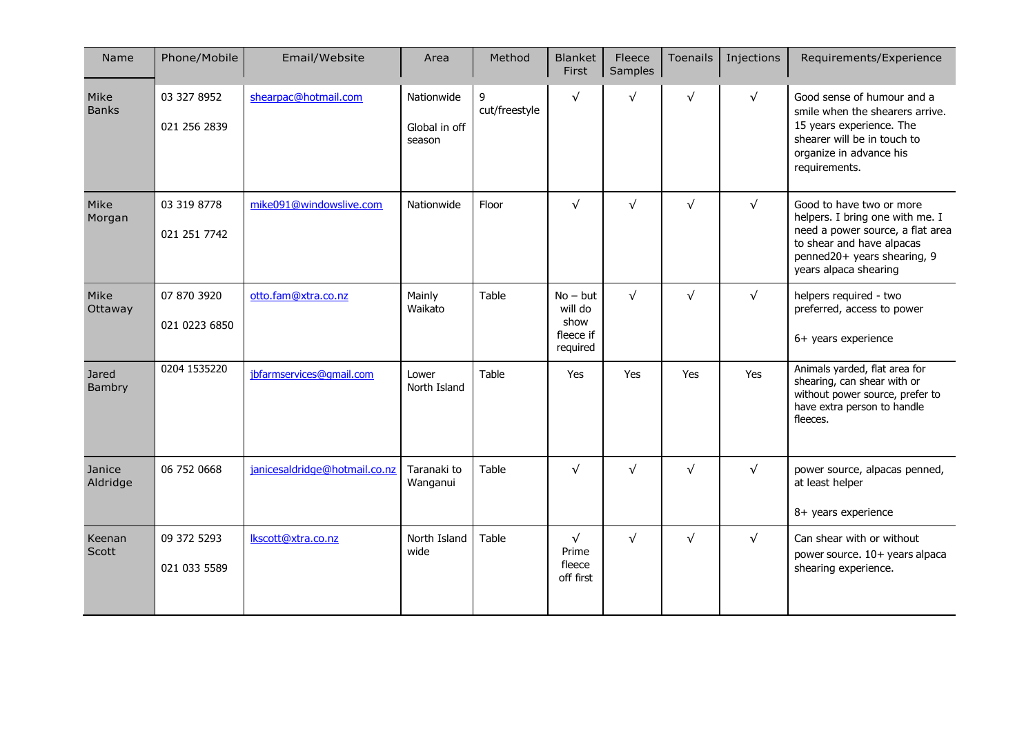| Name                 | Phone/Mobile                 | Email/Website                 | Area                                  | Method             | Blanket<br>First                                       | Fleece<br>Samples | <b>Toenails</b> | Injections | Requirements/Experience                                                                                                                                                              |
|----------------------|------------------------------|-------------------------------|---------------------------------------|--------------------|--------------------------------------------------------|-------------------|-----------------|------------|--------------------------------------------------------------------------------------------------------------------------------------------------------------------------------------|
| Mike<br><b>Banks</b> | 03 327 8952<br>021 256 2839  | shearpac@hotmail.com          | Nationwide<br>Global in off<br>season | 9<br>cut/freestyle | $\sqrt{}$                                              | $\sqrt{}$         | $\sqrt{}$       | $\sqrt{}$  | Good sense of humour and a<br>smile when the shearers arrive.<br>15 years experience. The<br>shearer will be in touch to<br>organize in advance his<br>requirements.                 |
| Mike<br>Morgan       | 03 319 8778<br>021 251 7742  | mike091@windowslive.com       | Nationwide                            | Floor              | $\sqrt{}$                                              | $\sqrt{}$         | $\sqrt{ }$      | $\sqrt{ }$ | Good to have two or more<br>helpers. I bring one with me. I<br>need a power source, a flat area<br>to shear and have alpacas<br>penned20+ years shearing, 9<br>years alpaca shearing |
| Mike<br>Ottaway      | 07 870 3920<br>021 0223 6850 | otto.fam@xtra.co.nz           | Mainly<br>Waikato                     | Table              | $No - but$<br>will do<br>show<br>fleece if<br>required | $\sqrt{}$         | $\sqrt{}$       | $\sqrt{ }$ | helpers required - two<br>preferred, access to power<br>6+ years experience                                                                                                          |
| Jared<br>Bambry      | 0204 1535220                 | jbfarmservices@gmail.com      | Lower<br>North Island                 | Table              | <b>Yes</b>                                             | Yes               | Yes             | Yes        | Animals yarded, flat area for<br>shearing, can shear with or<br>without power source, prefer to<br>have extra person to handle<br>fleeces.                                           |
| Janice<br>Aldridge   | 06 752 0668                  | janicesaldridge@hotmail.co.nz | Taranaki to<br>Wanganui               | Table              | $\sqrt{ }$                                             | $\sqrt{}$         | $\sqrt{ }$      | $\sqrt{ }$ | power source, alpacas penned,<br>at least helper<br>8+ years experience                                                                                                              |
| Keenan<br>Scott      | 09 372 5293<br>021 033 5589  | lkscott@xtra.co.nz            | North Island<br>wide                  | Table              | $\sqrt{}$<br>Prime<br>fleece<br>off first              | $\sqrt{}$         | $\sqrt{ }$      | $\sqrt{ }$ | Can shear with or without<br>power source. 10+ years alpaca<br>shearing experience.                                                                                                  |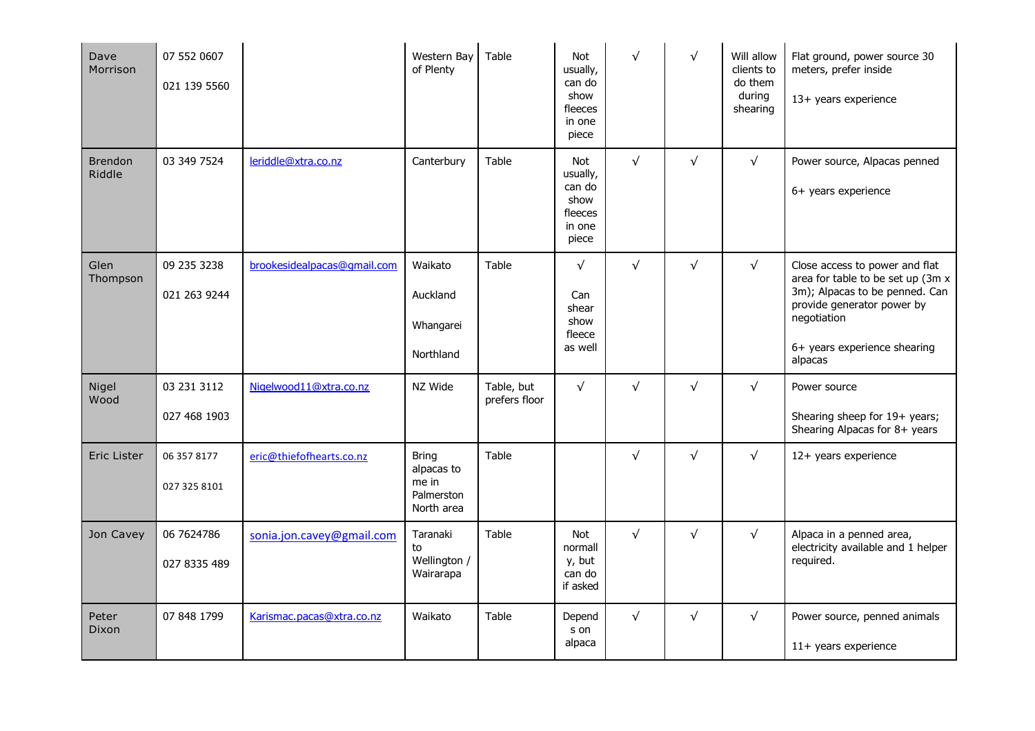| Dave<br>Morrison         | 07 552 0607<br>021 139 5560 |                             | Western Bay<br>of Plenty                                        | Table                       | Not<br>usually,<br>can do<br>show<br>fleeces<br>in one<br>piece | $\sqrt{}$ | $\sqrt{}$  | Will allow<br>clients to<br>do them<br>during<br>shearing | Flat ground, power source 30<br>meters, prefer inside<br>13+ years experience                                                                                                                 |
|--------------------------|-----------------------------|-----------------------------|-----------------------------------------------------------------|-----------------------------|-----------------------------------------------------------------|-----------|------------|-----------------------------------------------------------|-----------------------------------------------------------------------------------------------------------------------------------------------------------------------------------------------|
| <b>Brendon</b><br>Riddle | 03 349 7524                 | leriddle@xtra.co.nz         | Canterbury                                                      | Table                       | Not<br>usually,<br>can do<br>show<br>fleeces<br>in one<br>piece | $\sqrt{}$ | $\sqrt{}$  | $\sqrt{ }$                                                | Power source, Alpacas penned<br>6+ years experience                                                                                                                                           |
| Glen<br>Thompson         | 09 235 3238<br>021 263 9244 | brookesidealpacas@qmail.com | Waikato<br>Auckland<br>Whangarei<br>Northland                   | Table                       | $\sqrt{ }$<br>Can<br>shear<br>show<br>fleece<br>as well         | $\sqrt{}$ | $\sqrt{ }$ | $\sqrt{ }$                                                | Close access to power and flat<br>area for table to be set up (3m x<br>3m); Alpacas to be penned. Can<br>provide generator power by<br>negotiation<br>6+ years experience shearing<br>alpacas |
| Nigel<br>Wood            | 03 231 3112<br>027 468 1903 | Nigelwood11@xtra.co.nz      | NZ Wide                                                         | Table, but<br>prefers floor | $\sqrt{}$                                                       | $\sqrt{}$ | $\sqrt{}$  | $\sqrt{ }$                                                | Power source<br>Shearing sheep for 19+ years;<br>Shearing Alpacas for 8+ years                                                                                                                |
| <b>Eric Lister</b>       | 06 357 8177<br>027 325 8101 | eric@thiefofhearts.co.nz    | <b>Bring</b><br>alpacas to<br>me in<br>Palmerston<br>North area | Table                       |                                                                 | $\sqrt{}$ | $\sqrt{}$  | $\sqrt{ }$                                                | 12+ years experience                                                                                                                                                                          |
| Jon Cavey                | 06 7624786<br>027 8335 489  | sonia.jon.cavey@gmail.com   | Taranaki<br>to<br>Wellington /<br>Wairarapa                     | Table                       | Not<br>normall<br>y, but<br>can do<br>if asked                  | $\sqrt{}$ | $\sqrt{ }$ | $\sqrt{ }$                                                | Alpaca in a penned area,<br>electricity available and 1 helper<br>required.                                                                                                                   |
| Peter<br>Dixon           | 07 848 1799                 | Karismac.pacas@xtra.co.nz   | Waikato                                                         | Table                       | Depend<br>s on<br>alpaca                                        | $\sqrt{}$ | $\sqrt{ }$ | $\sqrt{ }$                                                | Power source, penned animals<br>11+ years experience                                                                                                                                          |